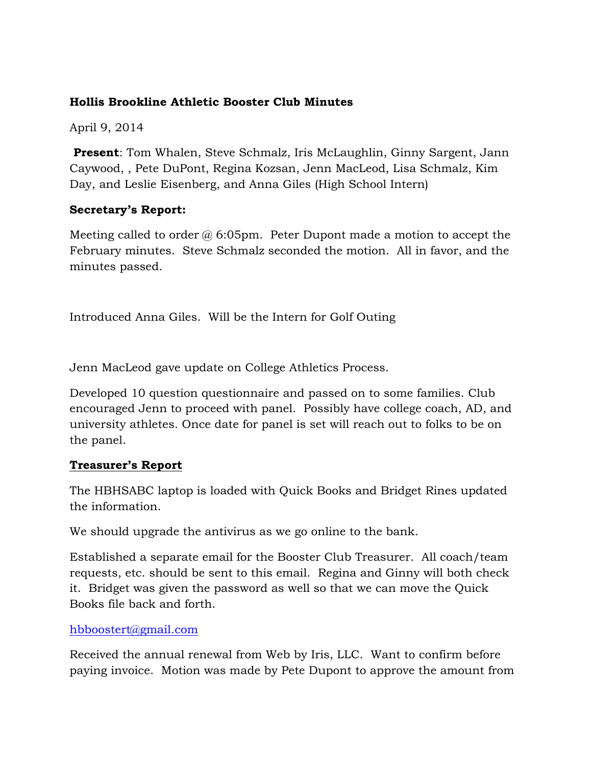### **Hollis Brookline Athletic Booster Club Minutes**

April 9, 2014

**Present**: Tom Whalen, Steve Schmalz, Iris McLaughlin, Ginny Sargent, Jann Caywood, , Pete DuPont, Regina Kozsan, Jenn MacLeod, Lisa Schmalz, Kim Day, and Leslie Eisenberg, and Anna Giles (High School Intern)

# **Secretary's Report:**

Meeting called to order  $\omega$  6:05pm. Peter Dupont made a motion to accept the February minutes. Steve Schmalz seconded the motion. All in favor, and the minutes passed.

Introduced Anna Giles. Will be the Intern for Golf Outing

Jenn MacLeod gave update on College Athletics Process.

Developed 10 question questionnaire and passed on to some families. Club encouraged Jenn to proceed with panel. Possibly have college coach, AD, and university athletes. Once date for panel is set will reach out to folks to be on the panel.

# **Treasurer's Report**

The HBHSABC laptop is loaded with Quick Books and Bridget Rines updated the information.

We should upgrade the antivirus as we go online to the bank.

Established a separate email for the Booster Club Treasurer. All coach/team requests, etc. should be sent to this email. Regina and Ginny will both check it. Bridget was given the password as well so that we can move the Quick Books file back and forth.

# hbboostert@gmail.com

Received the annual renewal from Web by Iris, LLC. Want to confirm before paying invoice. Motion was made by Pete Dupont to approve the amount from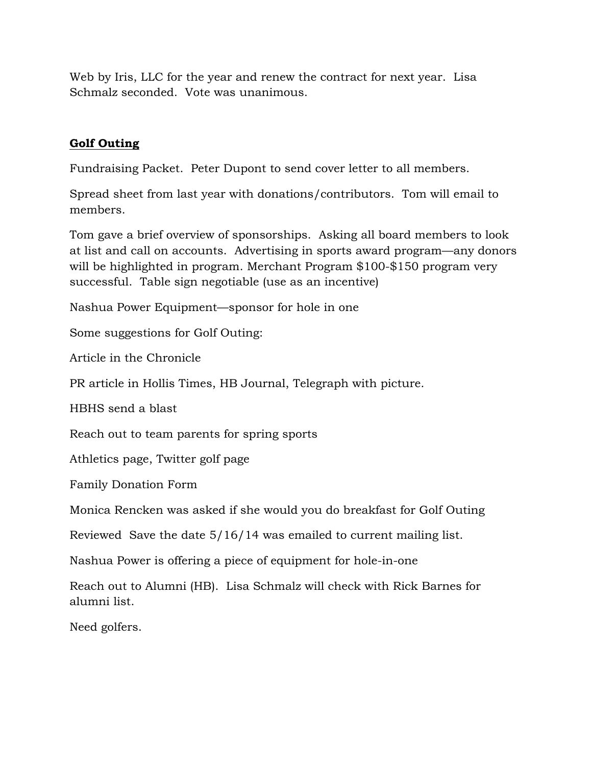Web by Iris, LLC for the year and renew the contract for next year. Lisa Schmalz seconded. Vote was unanimous.

### **Golf Outing**

Fundraising Packet. Peter Dupont to send cover letter to all members.

Spread sheet from last year with donations/contributors. Tom will email to members.

Tom gave a brief overview of sponsorships. Asking all board members to look at list and call on accounts. Advertising in sports award program—any donors will be highlighted in program. Merchant Program \$100-\$150 program very successful. Table sign negotiable (use as an incentive)

Nashua Power Equipment—sponsor for hole in one

Some suggestions for Golf Outing:

Article in the Chronicle

PR article in Hollis Times, HB Journal, Telegraph with picture.

HBHS send a blast

Reach out to team parents for spring sports

Athletics page, Twitter golf page

Family Donation Form

Monica Rencken was asked if she would you do breakfast for Golf Outing

Reviewed Save the date 5/16/14 was emailed to current mailing list.

Nashua Power is offering a piece of equipment for hole-in-one

Reach out to Alumni (HB). Lisa Schmalz will check with Rick Barnes for alumni list.

Need golfers.